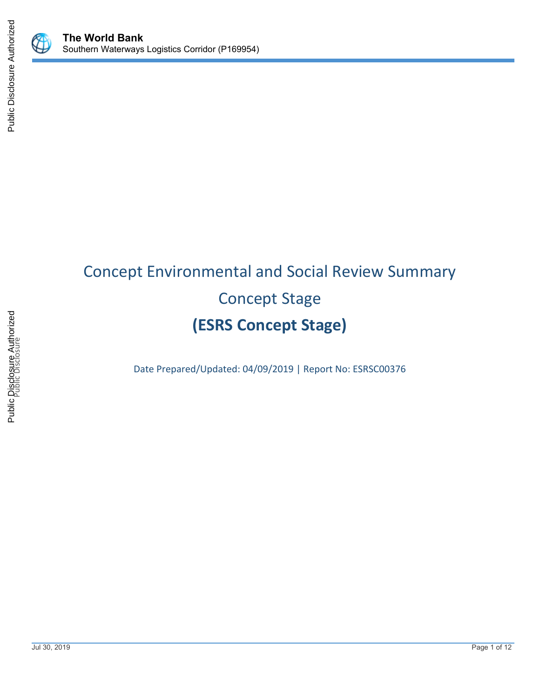



# Concept Environmental and Social Review Summary Concept Stage **(ESRS Concept Stage)**

Date Prepared/Updated: 04/09/2019 | Report No: ESRSC00376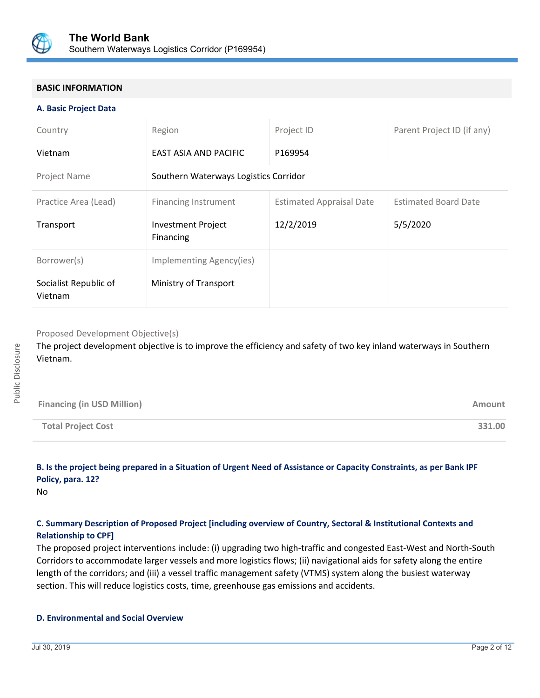

## **BASIC INFORMATION**

#### **A. Basic Project Data**

| Country                          | Region                                 | Project ID                      | Parent Project ID (if any)  |
|----------------------------------|----------------------------------------|---------------------------------|-----------------------------|
| Vietnam                          | EAST ASIA AND PACIFIC                  | P169954                         |                             |
| <b>Project Name</b>              | Southern Waterways Logistics Corridor  |                                 |                             |
| Practice Area (Lead)             | <b>Financing Instrument</b>            | <b>Estimated Appraisal Date</b> | <b>Estimated Board Date</b> |
| Transport                        | <b>Investment Project</b><br>Financing | 12/2/2019                       | 5/5/2020                    |
| Borrower(s)                      | Implementing Agency(ies)               |                                 |                             |
| Socialist Republic of<br>Vietnam | Ministry of Transport                  |                                 |                             |

Proposed Development Objective(s)

The project development objective is to improve the efficiency and safety of two key inland waterways in Southern Vietnam.

| <b>Financing (in USD Million)</b> | Amount |
|-----------------------------------|--------|
| <b>Total Project Cost</b>         | 331.00 |

# **B. Is the project being prepared in a Situation of Urgent Need of Assistance or Capacity Constraints, as per Bank IPF Policy, para. 12?**

No

## **C. Summary Description of Proposed Project [including overview of Country, Sectoral & Institutional Contexts and Relationship to CPF]**

The proposed project interventions include: (i) upgrading two high-traffic and congested East-West and North-South Corridors to accommodate larger vessels and more logistics flows; (ii) navigational aids for safety along the entire length of the corridors; and (iii) a vessel traffic management safety (VTMS) system along the busiest waterway section. This will reduce logistics costs, time, greenhouse gas emissions and accidents.

#### **D. Environmental and Social Overview**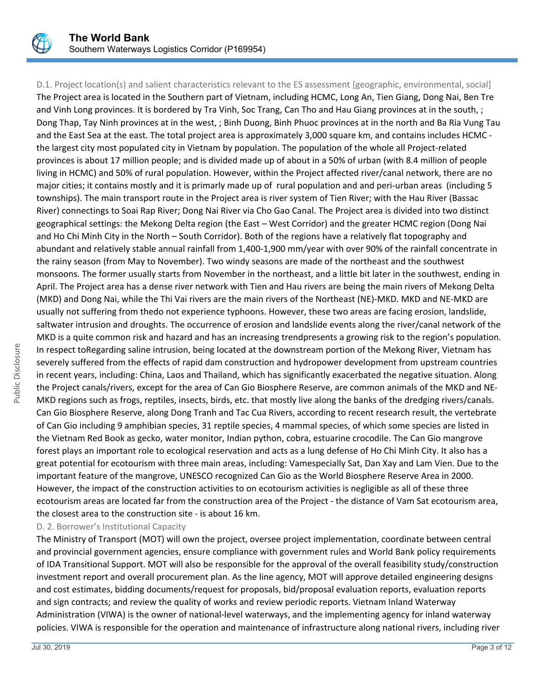

Public Disclosure

D.1. Project location(s) and salient characteristics relevant to the ES assessment [geographic, environmental, social] The Project area is located in the Southern part of Vietnam, including HCMC, Long An, Tien Giang, Dong Nai, Ben Tre and Vinh Long provinces. It is bordered by Tra Vinh, Soc Trang, Can Tho and Hau Giang provinces at in the south, ; Dong Thap, Tay Ninh provinces at in the west, ; Binh Duong, Binh Phuoc provinces at in the north and Ba Ria Vung Tau and the East Sea at the east. The total project area is approximately 3,000 square km, and contains includes HCMC the largest city most populated city in Vietnam by population. The population of the whole all Project-related provinces is about 17 million people; and is divided made up of about in a 50% of urban (with 8.4 million of people living in HCMC) and 50% of rural population. However, within the Project affected river/canal network, there are no major cities; it contains mostly and it is primarly made up of rural population and and peri-urban areas (including 5 townships). The main transport route in the Project area is river system of Tien River; with the Hau River (Bassac River) connectings to Soai Rap River; Dong Nai River via Cho Gao Canal. The Project area is divided into two distinct geographical settings: the Mekong Delta region (the East – West Corridor) and the greater HCMC region (Dong Nai and Ho Chi Minh City in the North – South Corridor). Both of the regions have a relatively flat topography and abundant and relatively stable annual rainfall from 1,400-1,900 mm/year with over 90% of the rainfall concentrate in the rainy season (from May to November). Two windy seasons are made of the northeast and the southwest monsoons. The former usually starts from November in the northeast, and a little bit later in the southwest, ending in April. The Project area has a dense river network with Tien and Hau rivers are being the main rivers of Mekong Delta (MKD) and Dong Nai, while the Thi Vai rivers are the main rivers of the Northeast (NE)-MKD. MKD and NE-MKD are usually not suffering from thedo not experience typhoons. However, these two areas are facing erosion, landslide, saltwater intrusion and droughts. The occurrence of erosion and landslide events along the river/canal network of the MKD is a quite common risk and hazard and has an increasing trendpresents a growing risk to the region's population. In respect toRegarding saline intrusion, being located at the downstream portion of the Mekong River, Vietnam has severely suffered from the effects of rapid dam construction and hydropower development from upstream countries in recent years, including: China, Laos and Thailand, which has significantly exacerbated the negative situation. Along the Project canals/rivers, except for the area of Can Gio Biosphere Reserve, are common animals of the MKD and NE-MKD regions such as frogs, reptiles, insects, birds, etc. that mostly live along the banks of the dredging rivers/canals. Can Gio Biosphere Reserve, along Dong Tranh and Tac Cua Rivers, according to recent research result, the vertebrate of Can Gio including 9 amphibian species, 31 reptile species, 4 mammal species, of which some species are listed in the Vietnam Red Book as gecko, water monitor, Indian python, cobra, estuarine crocodile. The Can Gio mangrove forest plays an important role to ecological reservation and acts as a lung defense of Ho Chi Minh City. It also has a great potential for ecotourism with three main areas, including: Vamespecially Sat, Dan Xay and Lam Vien. Due to the important feature of the mangrove, UNESCO recognized Can Gio as the World Biosphere Reserve Area in 2000. However, the impact of the construction activities to on ecotourism activities is negligible as all of these three ecotourism areas are located far from the construction area of the Project - the distance of Vam Sat ecotourism area, the closest area to the construction site - is about 16 km.

#### D. 2. Borrower's Institutional Capacity

The Ministry of Transport (MOT) will own the project, oversee project implementation, coordinate between central and provincial government agencies, ensure compliance with government rules and World Bank policy requirements of IDA Transitional Support. MOT will also be responsible for the approval of the overall feasibility study/construction investment report and overall procurement plan. As the line agency, MOT will approve detailed engineering designs and cost estimates, bidding documents/request for proposals, bid/proposal evaluation reports, evaluation reports and sign contracts; and review the quality of works and review periodic reports. Vietnam Inland Waterway Administration (VIWA) is the owner of national-level waterways, and the implementing agency for inland waterway policies. VIWA is responsible for the operation and maintenance of infrastructure along national rivers, including river

Public Disclosure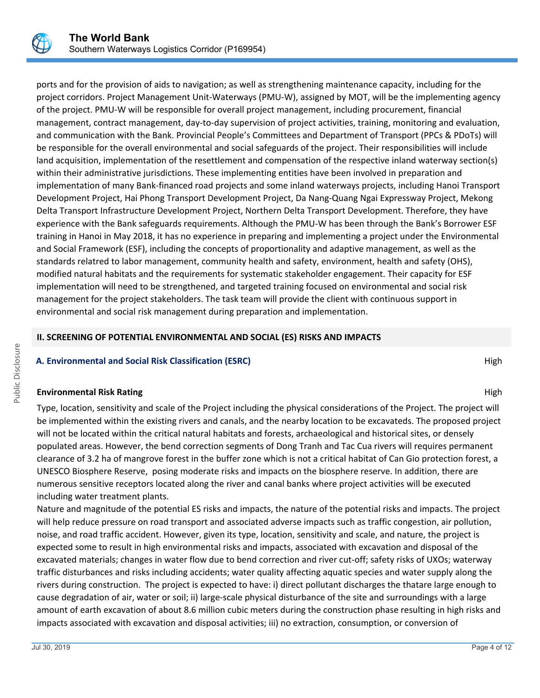

ports and for the provision of aids to navigation; as well as strengthening maintenance capacity, including for the project corridors. Project Management Unit-Waterways (PMU-W), assigned by MOT, will be the implementing agency of the project. PMU-W will be responsible for overall project management, including procurement, financial management, contract management, day-to-day supervision of project activities, training, monitoring and evaluation, and communication with the Bank. Provincial People's Committees and Department of Transport (PPCs & PDoTs) will be responsible for the overall environmental and social safeguards of the project. Their responsibilities will include land acquisition, implementation of the resettlement and compensation of the respective inland waterway section(s) within their administrative jurisdictions. These implementing entities have been involved in preparation and implementation of many Bank-financed road projects and some inland waterways projects, including Hanoi Transport Development Project, Hai Phong Transport Development Project, Da Nang-Quang Ngai Expressway Project, Mekong Delta Transport Infrastructure Development Project, Northern Delta Transport Development. Therefore, they have experience with the Bank safeguards requirements. Although the PMU-W has been through the Bank's Borrower ESF training in Hanoi in May 2018, it has no experience in preparing and implementing a project under the Environmental and Social Framework (ESF), including the concepts of proportionality and adaptive management, as well as the standards relatred to labor management, community health and safety, environment, health and safety (OHS), modified natural habitats and the requirements for systematic stakeholder engagement. Their capacity for ESF implementation will need to be strengthened, and targeted training focused on environmental and social risk management for the project stakeholders. The task team will provide the client with continuous support in environmental and social risk management during preparation and implementation.

#### **II. SCREENING OF POTENTIAL ENVIRONMENTAL AND SOCIAL (ES) RISKS AND IMPACTS**

#### **A. Environmental and Social Risk Classification (ESRC) High A. Environmental and Social Risk Classification (ESRC)**

#### **Environmental Risk Rating High Albert School Control of the Control Control Control Control Control Control Control Control Control Control Control Control Control Control Control Control Control Control Control Control C**

Type, location, sensitivity and scale of the Project including the physical considerations of the Project. The project will be implemented within the existing rivers and canals, and the nearby location to be excavateds. The proposed project will not be located within the critical natural habitats and forests, archaeological and historical sites, or densely populated areas. However, the bend correction segments of Dong Tranh and Tac Cua rivers will requires permanent clearance of 3.2 ha of mangrove forest in the buffer zone which is not a critical habitat of Can Gio protection forest, a UNESCO Biosphere Reserve, posing moderate risks and impacts on the biosphere reserve. In addition, there are numerous sensitive receptors located along the river and canal banks where project activities will be executed including water treatment plants.

Nature and magnitude of the potential ES risks and impacts, the nature of the potential risks and impacts. The project will help reduce pressure on road transport and associated adverse impacts such as traffic congestion, air pollution, noise, and road traffic accident. However, given its type, location, sensitivity and scale, and nature, the project is expected some to result in high environmental risks and impacts, associated with excavation and disposal of the excavated materials; changes in water flow due to bend correction and river cut-off; safety risks of UXOs; waterway traffic disturbances and risks including accidents; water quality affecting aquatic species and water supply along the rivers during construction. The project is expected to have: i) direct pollutant discharges the thatare large enough to cause degradation of air, water or soil; ii) large-scale physical disturbance of the site and surroundings with a large amount of earth excavation of about 8.6 million cubic meters during the construction phase resulting in high risks and impacts associated with excavation and disposal activities; iii) no extraction, consumption, or conversion of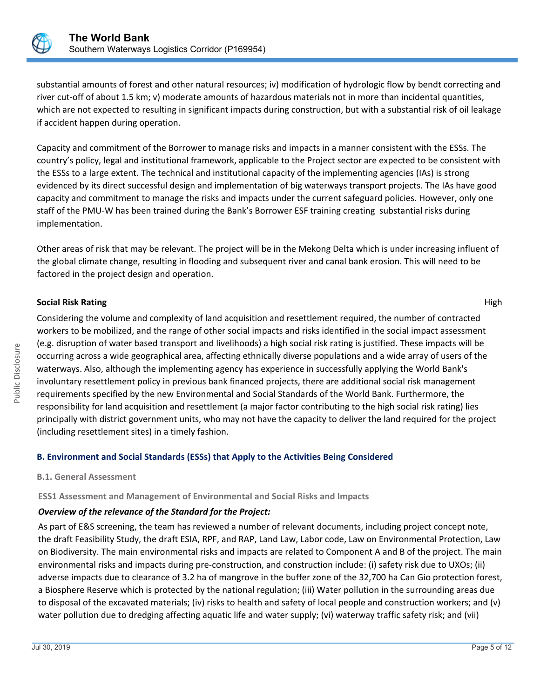

substantial amounts of forest and other natural resources; iv) modification of hydrologic flow by bendt correcting and river cut-off of about 1.5 km; v) moderate amounts of hazardous materials not in more than incidental quantities, which are not expected to resulting in significant impacts during construction, but with a substantial risk of oil leakage if accident happen during operation.

Capacity and commitment of the Borrower to manage risks and impacts in a manner consistent with the ESSs. The country's policy, legal and institutional framework, applicable to the Project sector are expected to be consistent with the ESSs to a large extent. The technical and institutional capacity of the implementing agencies (IAs) is strong evidenced by its direct successful design and implementation of big waterways transport projects. The IAs have good capacity and commitment to manage the risks and impacts under the current safeguard policies. However, only one staff of the PMU-W has been trained during the Bank's Borrower ESF training creating substantial risks during implementation.

Other areas of risk that may be relevant. The project will be in the Mekong Delta which is under increasing influent of the global climate change, resulting in flooding and subsequent river and canal bank erosion. This will need to be factored in the project design and operation.

#### **Social Risk Rating High Research Action Section 2008 High Research Act 2008 High Risk Rating High Research Act 2008**

Considering the volume and complexity of land acquisition and resettlement required, the number of contracted workers to be mobilized, and the range of other social impacts and risks identified in the social impact assessment (e.g. disruption of water based transport and livelihoods) a high social risk rating is justified. These impacts will be occurring across a wide geographical area, affecting ethnically diverse populations and a wide array of users of the waterways. Also, although the implementing agency has experience in successfully applying the World Bank's involuntary resettlement policy in previous bank financed projects, there are additional social risk management requirements specified by the new Environmental and Social Standards of the World Bank. Furthermore, the responsibility for land acquisition and resettlement (a major factor contributing to the high social risk rating) lies principally with district government units, who may not have the capacity to deliver the land required for the project (including resettlement sites) in a timely fashion.

# **B. Environment and Social Standards (ESSs) that Apply to the Activities Being Considered**

**B.1. General Assessment**

# **ESS1 Assessment and Management of Environmental and Social Risks and Impacts**

# *Overview of the relevance of the Standard for the Project:*

As part of E&S screening, the team has reviewed a number of relevant documents, including project concept note, the draft Feasibility Study, the draft ESIA, RPF, and RAP, Land Law, Labor code, Law on Environmental Protection, Law on Biodiversity. The main environmental risks and impacts are related to Component A and B of the project. The main environmental risks and impacts during pre-construction, and construction include: (i) safety risk due to UXOs; (ii) adverse impacts due to clearance of 3.2 ha of mangrove in the buffer zone of the 32,700 ha Can Gio protection forest, a Biosphere Reserve which is protected by the national regulation; (iii) Water pollution in the surrounding areas due to disposal of the excavated materials; (iv) risks to health and safety of local people and construction workers; and (v) water pollution due to dredging affecting aquatic life and water supply; (vi) waterway traffic safety risk; and (vii)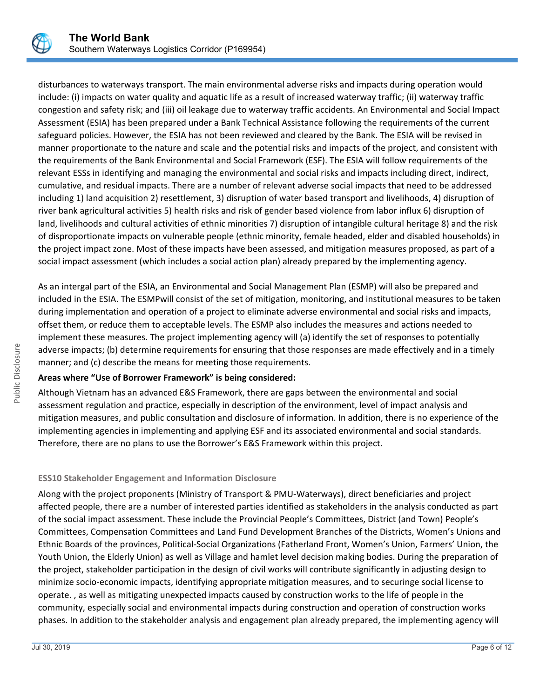

disturbances to waterways transport. The main environmental adverse risks and impacts during operation would include: (i) impacts on water quality and aquatic life as a result of increased waterway traffic; (ii) waterway traffic congestion and safety risk; and (iii) oil leakage due to waterway traffic accidents. An Environmental and Social Impact Assessment (ESIA) has been prepared under a Bank Technical Assistance following the requirements of the current safeguard policies. However, the ESIA has not been reviewed and cleared by the Bank. The ESIA will be revised in manner proportionate to the nature and scale and the potential risks and impacts of the project, and consistent with the requirements of the Bank Environmental and Social Framework (ESF). The ESIA will follow requirements of the relevant ESSs in identifying and managing the environmental and social risks and impacts including direct, indirect, cumulative, and residual impacts. There are a number of relevant adverse social impacts that need to be addressed including 1) land acquisition 2) resettlement, 3) disruption of water based transport and livelihoods, 4) disruption of river bank agricultural activities 5) health risks and risk of gender based violence from labor influx 6) disruption of land, livelihoods and cultural activities of ethnic minorities 7) disruption of intangible cultural heritage 8) and the risk of disproportionate impacts on vulnerable people (ethnic minority, female headed, elder and disabled households) in the project impact zone. Most of these impacts have been assessed, and mitigation measures proposed, as part of a social impact assessment (which includes a social action plan) already prepared by the implementing agency.

As an intergal part of the ESIA, an Environmental and Social Management Plan (ESMP) will also be prepared and included in the ESIA. The ESMPwill consist of the set of mitigation, monitoring, and institutional measures to be taken during implementation and operation of a project to eliminate adverse environmental and social risks and impacts, offset them, or reduce them to acceptable levels. The ESMP also includes the measures and actions needed to implement these measures. The project implementing agency will (a) identify the set of responses to potentially adverse impacts; (b) determine requirements for ensuring that those responses are made effectively and in a timely manner; and (c) describe the means for meeting those requirements.

#### **Areas where "Use of Borrower Framework" is being considered:**

Although Vietnam has an advanced E&S Framework, there are gaps between the environmental and social assessment regulation and practice, especially in description of the environment, level of impact analysis and mitigation measures, and public consultation and disclosure of information. In addition, there is no experience of the implementing agencies in implementing and applying ESF and its associated environmental and social standards. Therefore, there are no plans to use the Borrower's E&S Framework within this project.

# **ESS10 Stakeholder Engagement and Information Disclosure**

Along with the project proponents (Ministry of Transport & PMU-Waterways), direct beneficiaries and project affected people, there are a number of interested parties identified as stakeholders in the analysis conducted as part of the social impact assessment. These include the Provincial People's Committees, District (and Town) People's Committees, Compensation Committees and Land Fund Development Branches of the Districts, Women's Unions and Ethnic Boards of the provinces, Political-Social Organizations (Fatherland Front, Women's Union, Farmers' Union, the Youth Union, the Elderly Union) as well as Village and hamlet level decision making bodies. During the preparation of the project, stakeholder participation in the design of civil works will contribute significantly in adjusting design to minimize socio-economic impacts, identifying appropriate mitigation measures, and to securinge social license to operate. , as well as mitigating unexpected impacts caused by construction works to the life of people in the community, especially social and environmental impacts during construction and operation of construction works phases. In addition to the stakeholder analysis and engagement plan already prepared, the implementing agency will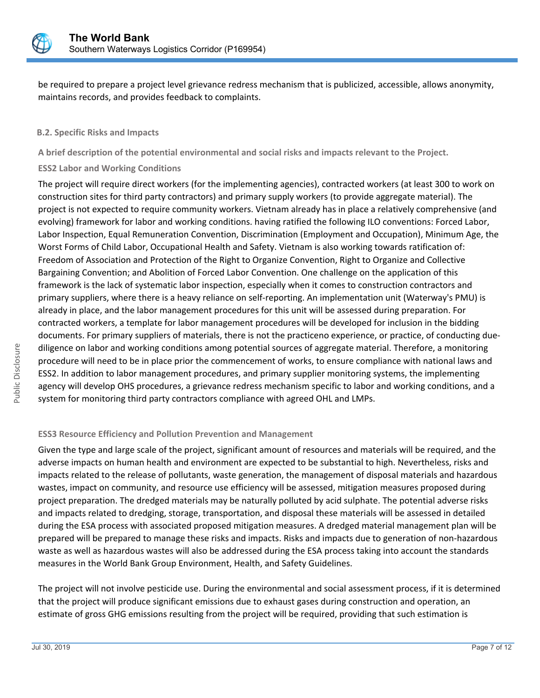

be required to prepare a project level grievance redress mechanism that is publicized, accessible, allows anonymity, maintains records, and provides feedback to complaints.

#### **B.2. Specific Risks and Impacts**

**A brief description of the potential environmental and social risks and impacts relevant to the Project.**

#### **ESS2 Labor and Working Conditions**

The project will require direct workers (for the implementing agencies), contracted workers (at least 300 to work on construction sites for third party contractors) and primary supply workers (to provide aggregate material). The project is not expected to require community workers. Vietnam already has in place a relatively comprehensive (and evolving) framework for labor and working conditions. having ratified the following ILO conventions: Forced Labor, Labor Inspection, Equal Remuneration Convention, Discrimination (Employment and Occupation), Minimum Age, the Worst Forms of Child Labor, Occupational Health and Safety. Vietnam is also working towards ratification of: Freedom of Association and Protection of the Right to Organize Convention, Right to Organize and Collective Bargaining Convention; and Abolition of Forced Labor Convention. One challenge on the application of this framework is the lack of systematic labor inspection, especially when it comes to construction contractors and primary suppliers, where there is a heavy reliance on self-reporting. An implementation unit (Waterway's PMU) is already in place, and the labor management procedures for this unit will be assessed during preparation. For contracted workers, a template for labor management procedures will be developed for inclusion in the bidding documents. For primary suppliers of materials, there is not the practiceno experience, or practice, of conducting duediligence on labor and working conditions among potential sources of aggregate material. Therefore, a monitoring procedure will need to be in place prior the commencement of works, to ensure compliance with national laws and ESS2. In addition to labor management procedures, and primary supplier monitoring systems, the implementing agency will develop OHS procedures, a grievance redress mechanism specific to labor and working conditions, and a system for monitoring third party contractors compliance with agreed OHL and LMPs.

#### **ESS3 Resource Efficiency and Pollution Prevention and Management**

Given the type and large scale of the project, significant amount of resources and materials will be required, and the adverse impacts on human health and environment are expected to be substantial to high. Nevertheless, risks and impacts related to the release of pollutants, waste generation, the management of disposal materials and hazardous wastes, impact on community, and resource use efficiency will be assessed, mitigation measures proposed during project preparation. The dredged materials may be naturally polluted by acid sulphate. The potential adverse risks and impacts related to dredging, storage, transportation, and disposal these materials will be assessed in detailed during the ESA process with associated proposed mitigation measures. A dredged material management plan will be prepared will be prepared to manage these risks and impacts. Risks and impacts due to generation of non-hazardous waste as well as hazardous wastes will also be addressed during the ESA process taking into account the standards measures in the World Bank Group Environment, Health, and Safety Guidelines.

The project will not involve pesticide use. During the environmental and social assessment process, if it is determined that the project will produce significant emissions due to exhaust gases during construction and operation, an estimate of gross GHG emissions resulting from the project will be required, providing that such estimation is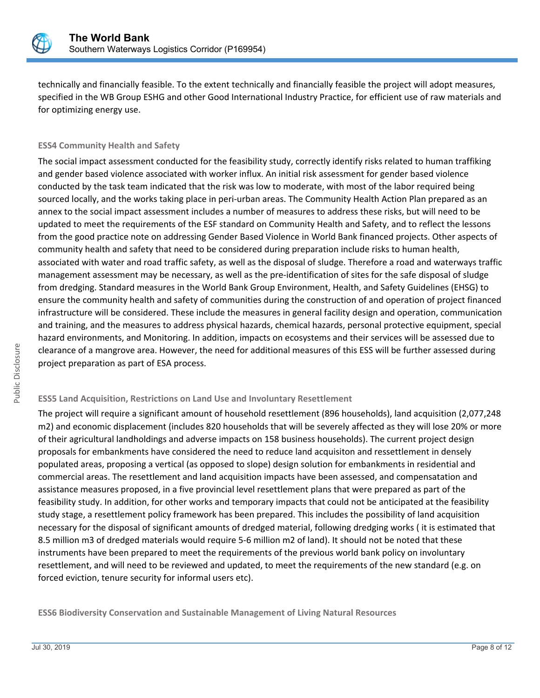

technically and financially feasible. To the extent technically and financially feasible the project will adopt measures, specified in the WB Group ESHG and other Good International Industry Practice, for efficient use of raw materials and for optimizing energy use.

#### **ESS4 Community Health and Safety**

The social impact assessment conducted for the feasibility study, correctly identify risks related to human traffiking and gender based violence associated with worker influx. An initial risk assessment for gender based violence conducted by the task team indicated that the risk was low to moderate, with most of the labor required being sourced locally, and the works taking place in peri-urban areas. The Community Health Action Plan prepared as an annex to the social impact assessment includes a number of measures to address these risks, but will need to be updated to meet the requirements of the ESF standard on Community Health and Safety, and to reflect the lessons from the good practice note on addressing Gender Based Violence in World Bank financed projects. Other aspects of community health and safety that need to be considered during preparation include risks to human health, associated with water and road traffic safety, as well as the disposal of sludge. Therefore a road and waterways traffic management assessment may be necessary, as well as the pre-identification of sites for the safe disposal of sludge from dredging. Standard measures in the World Bank Group Environment, Health, and Safety Guidelines (EHSG) to ensure the community health and safety of communities during the construction of and operation of project financed infrastructure will be considered. These include the measures in general facility design and operation, communication and training, and the measures to address physical hazards, chemical hazards, personal protective equipment, special hazard environments, and Monitoring. In addition, impacts on ecosystems and their services will be assessed due to clearance of a mangrove area. However, the need for additional measures of this ESS will be further assessed during project preparation as part of ESA process.

#### **ESS5 Land Acquisition, Restrictions on Land Use and Involuntary Resettlement**

The project will require a significant amount of household resettlement (896 households), land acquisition (2,077,248 m2) and economic displacement (includes 820 households that will be severely affected as they will lose 20% or more of their agricultural landholdings and adverse impacts on 158 business households). The current project design proposals for embankments have considered the need to reduce land acquisiton and ressettlement in densely populated areas, proposing a vertical (as opposed to slope) design solution for embankments in residential and commercial areas. The resettlement and land acquisition impacts have been assessed, and compensatation and assistance measures proposed, in a five provincial level resettlement plans that were prepared as part of the feasibility study. In addition, for other works and temporary impacts that could not be anticipated at the feasibility study stage, a resettlement policy framework has been prepared. This includes the possibility of land acquisition necessary for the disposal of significant amounts of dredged material, following dredging works ( it is estimated that 8.5 million m3 of dredged materials would require 5-6 million m2 of land). It should not be noted that these instruments have been prepared to meet the requirements of the previous world bank policy on involuntary resettlement, and will need to be reviewed and updated, to meet the requirements of the new standard (e.g. on forced eviction, tenure security for informal users etc).

**ESS6 Biodiversity Conservation and Sustainable Management of Living Natural Resources**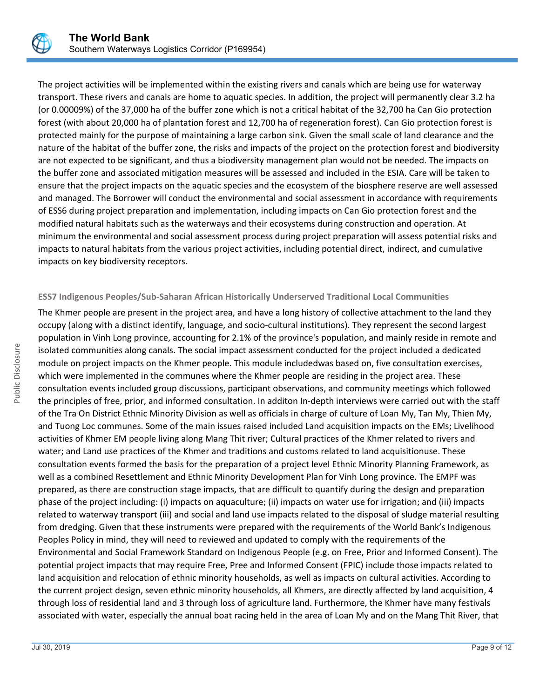

The project activities will be implemented within the existing rivers and canals which are being use for waterway transport. These rivers and canals are home to aquatic species. In addition, the project will permanently clear 3.2 ha (or 0.00009%) of the 37,000 ha of the buffer zone which is not a critical habitat of the 32,700 ha Can Gio protection forest (with about 20,000 ha of plantation forest and 12,700 ha of regeneration forest). Can Gio protection forest is protected mainly for the purpose of maintaining a large carbon sink. Given the small scale of land clearance and the nature of the habitat of the buffer zone, the risks and impacts of the project on the protection forest and biodiversity are not expected to be significant, and thus a biodiversity management plan would not be needed. The impacts on the buffer zone and associated mitigation measures will be assessed and included in the ESIA. Care will be taken to ensure that the project impacts on the aquatic species and the ecosystem of the biosphere reserve are well assessed and managed. The Borrower will conduct the environmental and social assessment in accordance with requirements of ESS6 during project preparation and implementation, including impacts on Can Gio protection forest and the modified natural habitats such as the waterways and their ecosystems during construction and operation. At minimum the environmental and social assessment process during project preparation will assess potential risks and impacts to natural habitats from the various project activities, including potential direct, indirect, and cumulative impacts on key biodiversity receptors.

#### **ESS7 Indigenous Peoples/Sub-Saharan African Historically Underserved Traditional Local Communities**

The Khmer people are present in the project area, and have a long history of collective attachment to the land they occupy (along with a distinct identify, language, and socio-cultural institutions). They represent the second largest population in Vinh Long province, accounting for 2.1% of the province's population, and mainly reside in remote and isolated communities along canals. The social impact assessment conducted for the project included a dedicated module on project impacts on the Khmer people. This module includedwas based on, five consultation exercises, which were implemented in the communes where the Khmer people are residing in the project area. These consultation events included group discussions, participant observations, and community meetings which followed the principles of free, prior, and informed consultation. In additon In-depth interviews were carried out with the staff of the Tra On District Ethnic Minority Division as well as officials in charge of culture of Loan My, Tan My, Thien My, and Tuong Loc communes. Some of the main issues raised included Land acquisition impacts on the EMs; Livelihood activities of Khmer EM people living along Mang Thit river; Cultural practices of the Khmer related to rivers and water; and Land use practices of the Khmer and traditions and customs related to land acquisitionuse. These consultation events formed the basis for the preparation of a project level Ethnic Minority Planning Framework, as well as a combined Resettlement and Ethnic Minority Development Plan for Vinh Long province. The EMPF was prepared, as there are construction stage impacts, that are difficult to quantify during the design and preparation phase of the project including: (i) impacts on aquaculture; (ii) impacts on water use for irrigation; and (iii) impacts related to waterway transport (iii) and social and land use impacts related to the disposal of sludge material resulting from dredging. Given that these instruments were prepared with the requirements of the World Bank's Indigenous Peoples Policy in mind, they will need to reviewed and updated to comply with the requirements of the Environmental and Social Framework Standard on Indigenous People (e.g. on Free, Prior and Informed Consent). The potential project impacts that may require Free, Pree and Informed Consent (FPIC) include those impacts related to land acquisition and relocation of ethnic minority households, as well as impacts on cultural activities. According to the current project design, seven ethnic minority households, all Khmers, are directly affected by land acquisition, 4 through loss of residential land and 3 through loss of agriculture land. Furthermore, the Khmer have many festivals associated with water, especially the annual boat racing held in the area of Loan My and on the Mang Thit River, that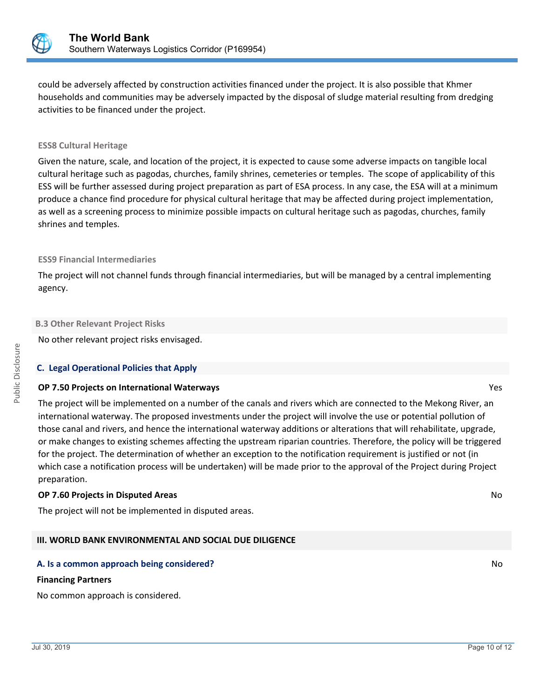

could be adversely affected by construction activities financed under the project. It is also possible that Khmer households and communities may be adversely impacted by the disposal of sludge material resulting from dredging activities to be financed under the project.

#### **ESS8 Cultural Heritage**

Given the nature, scale, and location of the project, it is expected to cause some adverse impacts on tangible local cultural heritage such as pagodas, churches, family shrines, cemeteries or temples. The scope of applicability of this ESS will be further assessed during project preparation as part of ESA process. In any case, the ESA will at a minimum produce a chance find procedure for physical cultural heritage that may be affected during project implementation, as well as a screening process to minimize possible impacts on cultural heritage such as pagodas, churches, family shrines and temples.

#### **ESS9 Financial Intermediaries**

The project will not channel funds through financial intermediaries, but will be managed by a central implementing agency.

#### **B.3 Other Relevant Project Risks**

No other relevant project risks envisaged.

#### **C. Legal Operational Policies that Apply**

#### **OP 7.50 Projects on International Waterways** Yes

The project will be implemented on a number of the canals and rivers which are connected to the Mekong River, an international waterway. The proposed investments under the project will involve the use or potential pollution of those canal and rivers, and hence the international waterway additions or alterations that will rehabilitate, upgrade, or make changes to existing schemes affecting the upstream riparian countries. Therefore, the policy will be triggered for the project. The determination of whether an exception to the notification requirement is justified or not (in which case a notification process will be undertaken) will be made prior to the approval of the Project during Project preparation.

#### **OP 7.60 Projects in Disputed Areas** No

The project will not be implemented in disputed areas.

# **III. WORLD BANK ENVIRONMENTAL AND SOCIAL DUE DILIGENCE**

# **A. Is a common approach being considered?** No **No. 2016** No. 2016 No. 2017 No. 2018 No. 2018 No. 2019 No. 2019 No

#### **Financing Partners**

No common approach is considered.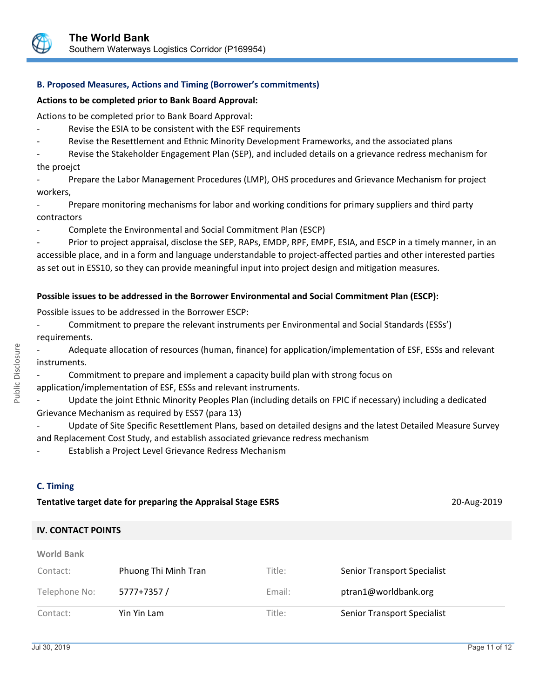

### **B. Proposed Measures, Actions and Timing (Borrower's commitments)**

#### **Actions to be completed prior to Bank Board Approval:**

Actions to be completed prior to Bank Board Approval:

- Revise the ESIA to be consistent with the ESF requirements
- Revise the Resettlement and Ethnic Minority Development Frameworks, and the associated plans

Revise the Stakeholder Engagement Plan (SEP), and included details on a grievance redress mechanism for the proejct

- Prepare the Labor Management Procedures (LMP), OHS procedures and Grievance Mechanism for project workers,

- Prepare monitoring mechanisms for labor and working conditions for primary suppliers and third party contractors
- Complete the Environmental and Social Commitment Plan (ESCP)

Prior to project appraisal, disclose the SEP, RAPs, EMDP, RPF, EMPF, ESIA, and ESCP in a timely manner, in an accessible place, and in a form and language understandable to project-affected parties and other interested parties as set out in ESS10, so they can provide meaningful input into project design and mitigation measures.

#### **Possible issues to be addressed in the Borrower Environmental and Social Commitment Plan (ESCP):**

Possible issues to be addressed in the Borrower ESCP:

Commitment to prepare the relevant instruments per Environmental and Social Standards (ESSs') requirements.

Adequate allocation of resources (human, finance) for application/implementation of ESF, ESSs and relevant instruments.

Commitment to prepare and implement a capacity build plan with strong focus on application/implementation of ESF, ESSs and relevant instruments.

Update the joint Ethnic Minority Peoples Plan (including details on FPIC if necessary) including a dedicated Grievance Mechanism as required by ESS7 (para 13)

- Update of Site Specific Resettlement Plans, based on detailed designs and the latest Detailed Measure Survey and Replacement Cost Study, and establish associated grievance redress mechanism

Establish a Project Level Grievance Redress Mechanism

# **C. Timing**

**World Bank**

# **Tentative target date for preparing the Appraisal Stage ESRS** 2018 20-Aug-2019

# **IV. CONTACT POINTS**

| Contact:      | Yin Yin Lam          | Title: | <b>Senior Transport Specialist</b> |
|---------------|----------------------|--------|------------------------------------|
| Telephone No: | 5777+7357/           | Email: | ptran1@worldbank.org               |
| Contact:      | Phuong Thi Minh Tran | Title: | <b>Senior Transport Specialist</b> |
| VVULIU DAIIN  |                      |        |                                    |